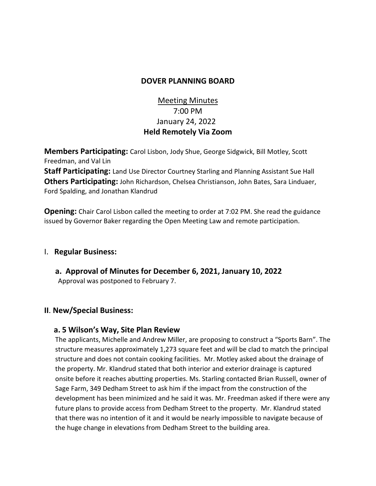## **DOVER PLANNING BOARD**

# Meeting Minutes 7:00 PM January 24, 2022 **Held Remotely Via Zoom**

**Members Participating:** Carol Lisbon, Jody Shue, George Sidgwick, Bill Motley, Scott Freedman, and Val Lin

**Staff Participating:** Land Use Director Courtney Starling and Planning Assistant Sue Hall **Others Participating:** John Richardson, Chelsea Christianson, John Bates, Sara Linduaer, Ford Spalding, and Jonathan Klandrud

**Opening:** Chair Carol Lisbon called the meeting to order at 7:02 PM. She read the guidance issued by Governor Baker regarding the Open Meeting Law and remote participation.

### I. **Regular Business:**

**a. Approval of Minutes for December 6, 2021, January 10, 2022** Approval was postponed to February 7.

### **II**. **New/Special Business:**

### **a. 5 Wilson's Way, Site Plan Review**

The applicants, Michelle and Andrew Miller, are proposing to construct a "Sports Barn". The structure measures approximately 1,273 square feet and will be clad to match the principal structure and does not contain cooking facilities. Mr. Motley asked about the drainage of the property. Mr. Klandrud stated that both interior and exterior drainage is captured onsite before it reaches abutting properties. Ms. Starling contacted Brian Russell, owner of Sage Farm, 349 Dedham Street to ask him if the impact from the construction of the development has been minimized and he said it was. Mr. Freedman asked if there were any future plans to provide access from Dedham Street to the property. Mr. Klandrud stated that there was no intention of it and it would be nearly impossible to navigate because of the huge change in elevations from Dedham Street to the building area.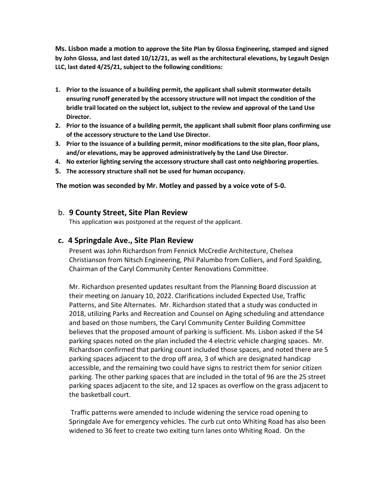**Ms. Lisbon made a motion to approve the Site Plan by Glossa Engineering, stamped and signed by John Glossa, and last dated 10/12/21, as well as the architectural elevations, by Legault Design LLC, last dated 4/25/21, subject to the following conditions:**

- **1. Prior to the issuance of a building permit, the applicant shall submit stormwater details ensuring runoff generated by the accessory structure will not impact the condition of the bridle trail located on the subject lot, subject to the review and approval of the Land Use Director.**
- **2. Prior to the issuance of a building permit, the applicant shall submit floor plans confirming use of the accessory structure to the Land Use Director.**
- **3. Prior to the issuance of a building permit, minor modifications to the site plan, floor plans, and/or elevations, may be approved administratively by the Land Use Director.**
- **4. No exterior lighting serving the accessory structure shall cast onto neighboring properties.**
- **5. The accessory structure shall not be used for human occupancy.**

 **The motion was seconded by Mr. Motley and passed by a voice vote of 5-0.** 

#### b. **9 County Street, Site Plan Review**

This application was postponed at the request of the applicant.

#### **c. 4 Springdale Ave., Site Plan Review**

Present was John Richardson from Fennick McCredie Architecture, Chelsea Christianson from Nitsch Engineering, Phil Palumbo from Colliers, and Ford Spalding, Chairman of the Caryl Community Center Renovations Committee.

Mr. Richardson presented updates resultant from the Planning Board discussion at their meeting on January 10, 2022. Clarifications included Expected Use, Traffic Patterns, and Site Alternates. Mr. Richardson stated that a study was conducted in 2018, utilizing Parks and Recreation and Counsel on Aging scheduling and attendance and based on those numbers, the Caryl Community Center Building Committee believes that the proposed amount of parking is sufficient. Ms. Lisbon asked if the 54 parking spaces noted on the plan included the 4 electric vehicle charging spaces. Mr. Richardson confirmed that parking count included those spaces, and noted there are 5 parking spaces adjacent to the drop off area, 3 of which are designated handicap accessible, and the remaining two could have signs to restrict them for senior citizen parking. The other parking spaces that are included in the total of 96 are the 25 street parking spaces adjacent to the site, and 12 spaces as overflow on the grass adjacent to the basketball court.

Traffic patterns were amended to include widening the service road opening to Springdale Ave for emergency vehicles. The curb cut onto Whiting Road has also been widened to 36 feet to create two exiting turn lanes onto Whiting Road. On the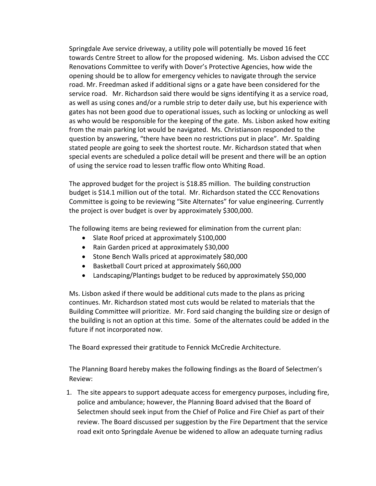Springdale Ave service driveway, a utility pole will potentially be moved 16 feet towards Centre Street to allow for the proposed widening. Ms. Lisbon advised the CCC Renovations Committee to verify with Dover's Protective Agencies, how wide the opening should be to allow for emergency vehicles to navigate through the service road. Mr. Freedman asked if additional signs or a gate have been considered for the service road. Mr. Richardson said there would be signs identifying it as a service road, as well as using cones and/or a rumble strip to deter daily use, but his experience with gates has not been good due to operational issues, such as locking or unlocking as well as who would be responsible for the keeping of the gate. Ms. Lisbon asked how exiting from the main parking lot would be navigated. Ms. Christianson responded to the question by answering, "there have been no restrictions put in place". Mr. Spalding stated people are going to seek the shortest route. Mr. Richardson stated that when special events are scheduled a police detail will be present and there will be an option of using the service road to lessen traffic flow onto Whiting Road.

The approved budget for the project is \$18.85 million. The building construction budget is \$14.1 million out of the total. Mr. Richardson stated the CCC Renovations Committee is going to be reviewing "Site Alternates" for value engineering. Currently the project is over budget is over by approximately \$300,000.

The following items are being reviewed for elimination from the current plan:

- Slate Roof priced at approximately \$100,000
- Rain Garden priced at approximately \$30,000
- Stone Bench Walls priced at approximately \$80,000
- Basketball Court priced at approximately \$60,000
- Landscaping/Plantings budget to be reduced by approximately \$50,000

Ms. Lisbon asked if there would be additional cuts made to the plans as pricing continues. Mr. Richardson stated most cuts would be related to materials that the Building Committee will prioritize. Mr. Ford said changing the building size or design of the building is not an option at this time. Some of the alternates could be added in the future if not incorporated now.

The Board expressed their gratitude to Fennick McCredie Architecture.

The Planning Board hereby makes the following findings as the Board of Selectmen's Review:

1. The site appears to support adequate access for emergency purposes, including fire, police and ambulance; however, the Planning Board advised that the Board of Selectmen should seek input from the Chief of Police and Fire Chief as part of their review. The Board discussed per suggestion by the Fire Department that the service road exit onto Springdale Avenue be widened to allow an adequate turning radius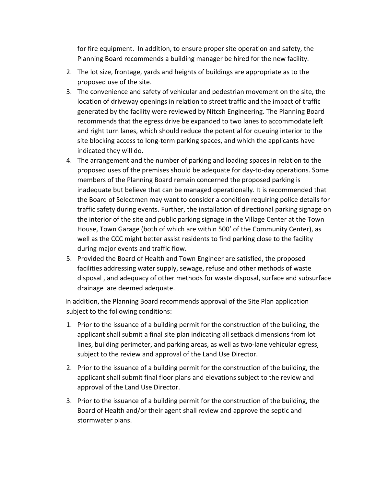for fire equipment. In addition, to ensure proper site operation and safety, the Planning Board recommends a building manager be hired for the new facility.

- 2. The lot size, frontage, yards and heights of buildings are appropriate as to the proposed use of the site.
- 3. The convenience and safety of vehicular and pedestrian movement on the site, the location of driveway openings in relation to street traffic and the impact of traffic generated by the facility were reviewed by Nitcsh Engineering. The Planning Board recommends that the egress drive be expanded to two lanes to accommodate left and right turn lanes, which should reduce the potential for queuing interior to the site blocking access to long-term parking spaces, and which the applicants have indicated they will do.
- 4. The arrangement and the number of parking and loading spaces in relation to the proposed uses of the premises should be adequate for day-to-day operations. Some members of the Planning Board remain concerned the proposed parking is inadequate but believe that can be managed operationally. It is recommended that the Board of Selectmen may want to consider a condition requiring police details for traffic safety during events. Further, the installation of directional parking signage on the interior of the site and public parking signage in the Village Center at the Town House, Town Garage (both of which are within 500' of the Community Center), as well as the CCC might better assist residents to find parking close to the facility during major events and traffic flow.
- 5. Provided the Board of Health and Town Engineer are satisfied, the proposed facilities addressing water supply, sewage, refuse and other methods of waste disposal , and adequacy of other methods for waste disposal, surface and subsurface drainage are deemed adequate.

In addition, the Planning Board recommends approval of the Site Plan application subject to the following conditions:

- 1. Prior to the issuance of a building permit for the construction of the building, the applicant shall submit a final site plan indicating all setback dimensions from lot lines, building perimeter, and parking areas, as well as two-lane vehicular egress, subject to the review and approval of the Land Use Director.
- 2. Prior to the issuance of a building permit for the construction of the building, the applicant shall submit final floor plans and elevations subject to the review and approval of the Land Use Director.
- 3. Prior to the issuance of a building permit for the construction of the building, the Board of Health and/or their agent shall review and approve the septic and stormwater plans.